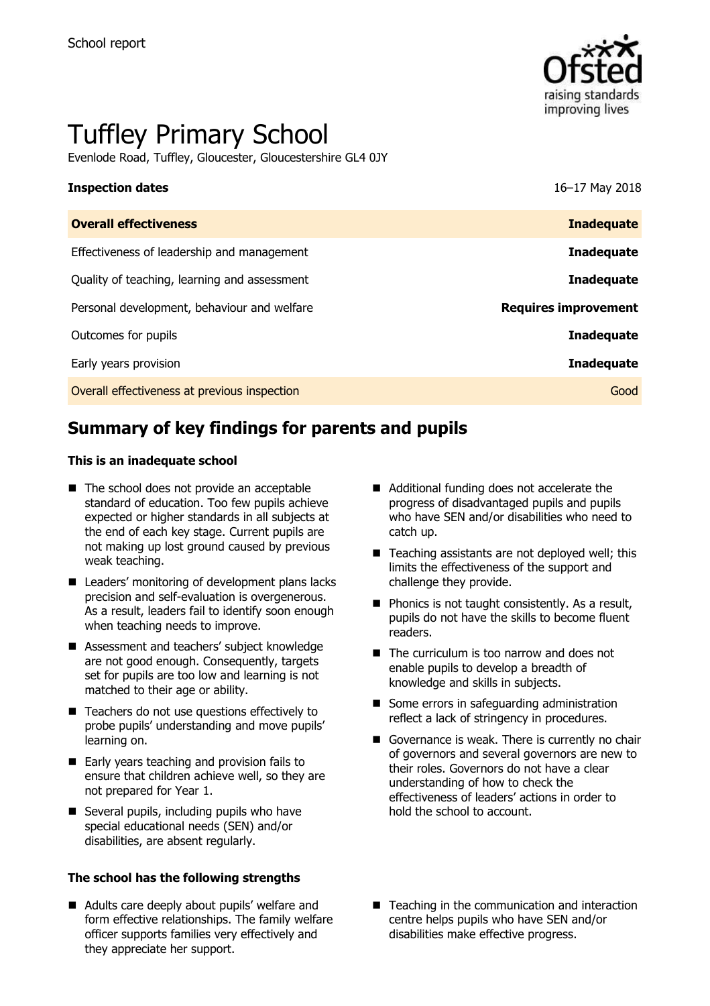

# Tuffley Primary School

Evenlode Road, Tuffley, Gloucester, Gloucestershire GL4 0JY

### **Inspection dates** 16–17 May 2018

| <b>Inadequate</b>           |
|-----------------------------|
| <b>Inadequate</b>           |
| <b>Inadequate</b>           |
| <b>Requires improvement</b> |
| <b>Inadequate</b>           |
| <b>Inadequate</b>           |
| Good                        |
|                             |

# **Summary of key findings for parents and pupils**

### **This is an inadequate school**

- The school does not provide an acceptable standard of education. Too few pupils achieve expected or higher standards in all subjects at the end of each key stage. Current pupils are not making up lost ground caused by previous weak teaching.
- Leaders' monitoring of development plans lacks precision and self-evaluation is overgenerous. As a result, leaders fail to identify soon enough when teaching needs to improve.
- Assessment and teachers' subject knowledge are not good enough. Consequently, targets set for pupils are too low and learning is not matched to their age or ability.
- Teachers do not use questions effectively to probe pupils' understanding and move pupils' learning on.
- Early years teaching and provision fails to ensure that children achieve well, so they are not prepared for Year 1.
- Several pupils, including pupils who have special educational needs (SEN) and/or disabilities, are absent regularly.

### **The school has the following strengths**

■ Adults care deeply about pupils' welfare and form effective relationships. The family welfare officer supports families very effectively and they appreciate her support.

- Additional funding does not accelerate the progress of disadvantaged pupils and pupils who have SEN and/or disabilities who need to catch up.
- $\blacksquare$  Teaching assistants are not deployed well; this limits the effectiveness of the support and challenge they provide.
- $\blacksquare$  Phonics is not taught consistently. As a result, pupils do not have the skills to become fluent readers.
- The curriculum is too narrow and does not enable pupils to develop a breadth of knowledge and skills in subjects.
- Some errors in safeguarding administration reflect a lack of stringency in procedures.
- Governance is weak. There is currently no chair of governors and several governors are new to their roles. Governors do not have a clear understanding of how to check the effectiveness of leaders' actions in order to hold the school to account.
- Teaching in the communication and interaction centre helps pupils who have SEN and/or disabilities make effective progress.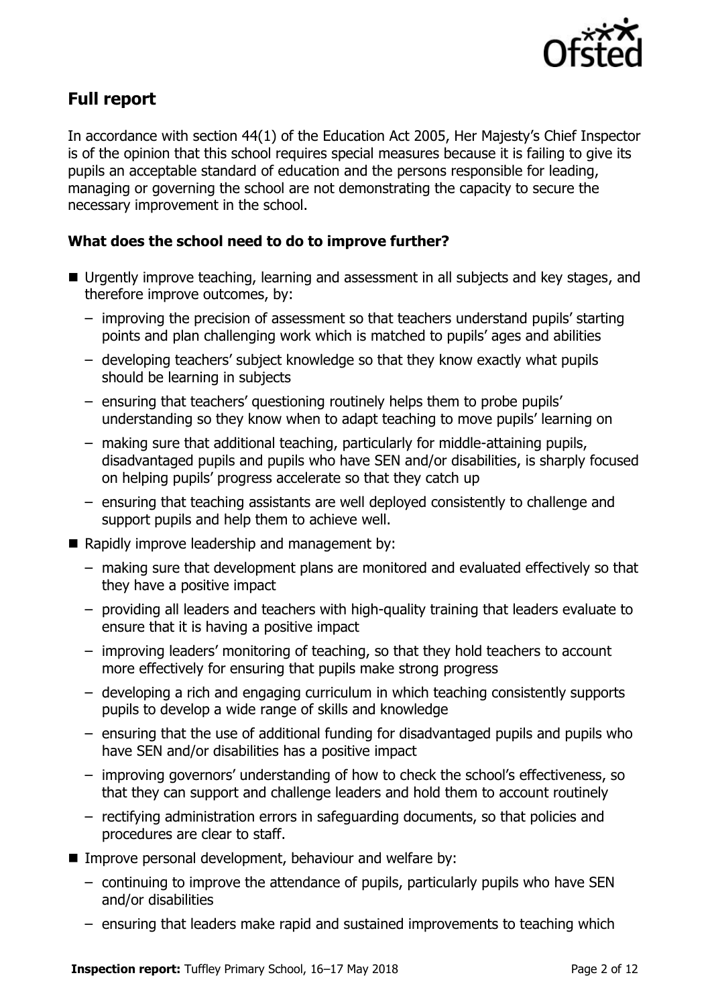

# **Full report**

In accordance with section 44(1) of the Education Act 2005, Her Majesty's Chief Inspector is of the opinion that this school requires special measures because it is failing to give its pupils an acceptable standard of education and the persons responsible for leading, managing or governing the school are not demonstrating the capacity to secure the necessary improvement in the school.

### **What does the school need to do to improve further?**

- Urgently improve teaching, learning and assessment in all subjects and key stages, and therefore improve outcomes, by:
	- improving the precision of assessment so that teachers understand pupils' starting points and plan challenging work which is matched to pupils' ages and abilities
	- developing teachers' subject knowledge so that they know exactly what pupils should be learning in subjects
	- ensuring that teachers' questioning routinely helps them to probe pupils' understanding so they know when to adapt teaching to move pupils' learning on
	- making sure that additional teaching, particularly for middle-attaining pupils, disadvantaged pupils and pupils who have SEN and/or disabilities, is sharply focused on helping pupils' progress accelerate so that they catch up
	- ensuring that teaching assistants are well deployed consistently to challenge and support pupils and help them to achieve well.
- Rapidly improve leadership and management by:
	- making sure that development plans are monitored and evaluated effectively so that they have a positive impact
	- providing all leaders and teachers with high-quality training that leaders evaluate to ensure that it is having a positive impact
	- improving leaders' monitoring of teaching, so that they hold teachers to account more effectively for ensuring that pupils make strong progress
	- developing a rich and engaging curriculum in which teaching consistently supports pupils to develop a wide range of skills and knowledge
	- ensuring that the use of additional funding for disadvantaged pupils and pupils who have SEN and/or disabilities has a positive impact
	- improving governors' understanding of how to check the school's effectiveness, so that they can support and challenge leaders and hold them to account routinely
	- rectifying administration errors in safeguarding documents, so that policies and procedures are clear to staff.
- **Improve personal development, behaviour and welfare by:** 
	- continuing to improve the attendance of pupils, particularly pupils who have SEN and/or disabilities
	- ensuring that leaders make rapid and sustained improvements to teaching which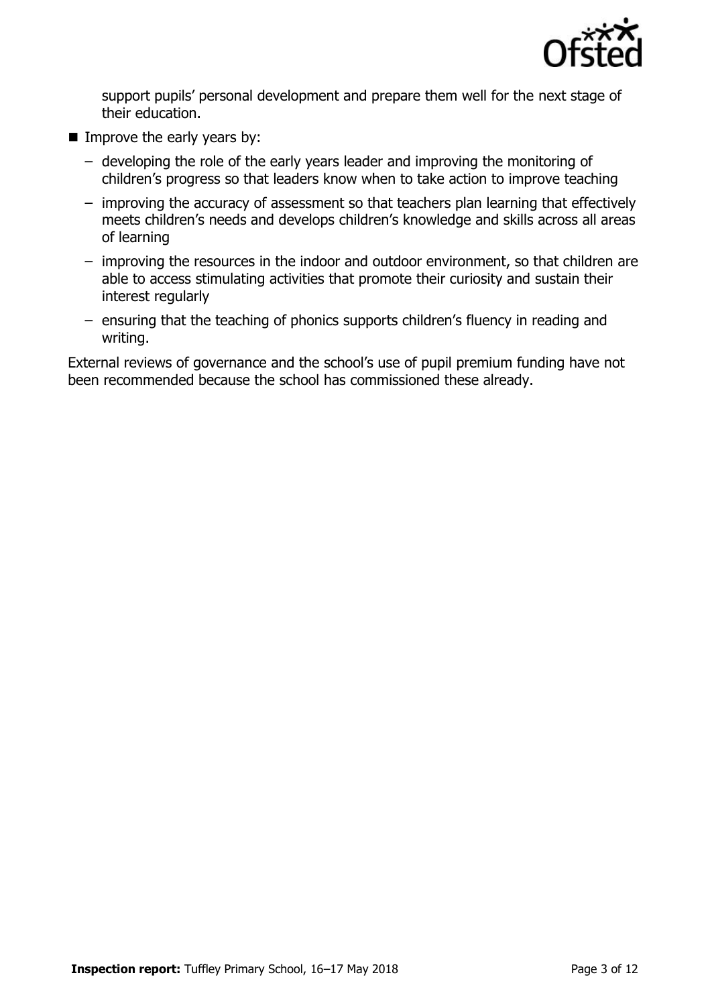

support pupils' personal development and prepare them well for the next stage of their education.

- Improve the early years by:
	- developing the role of the early years leader and improving the monitoring of children's progress so that leaders know when to take action to improve teaching
	- improving the accuracy of assessment so that teachers plan learning that effectively meets children's needs and develops children's knowledge and skills across all areas of learning
	- improving the resources in the indoor and outdoor environment, so that children are able to access stimulating activities that promote their curiosity and sustain their interest regularly
	- ensuring that the teaching of phonics supports children's fluency in reading and writing.

External reviews of governance and the school's use of pupil premium funding have not been recommended because the school has commissioned these already.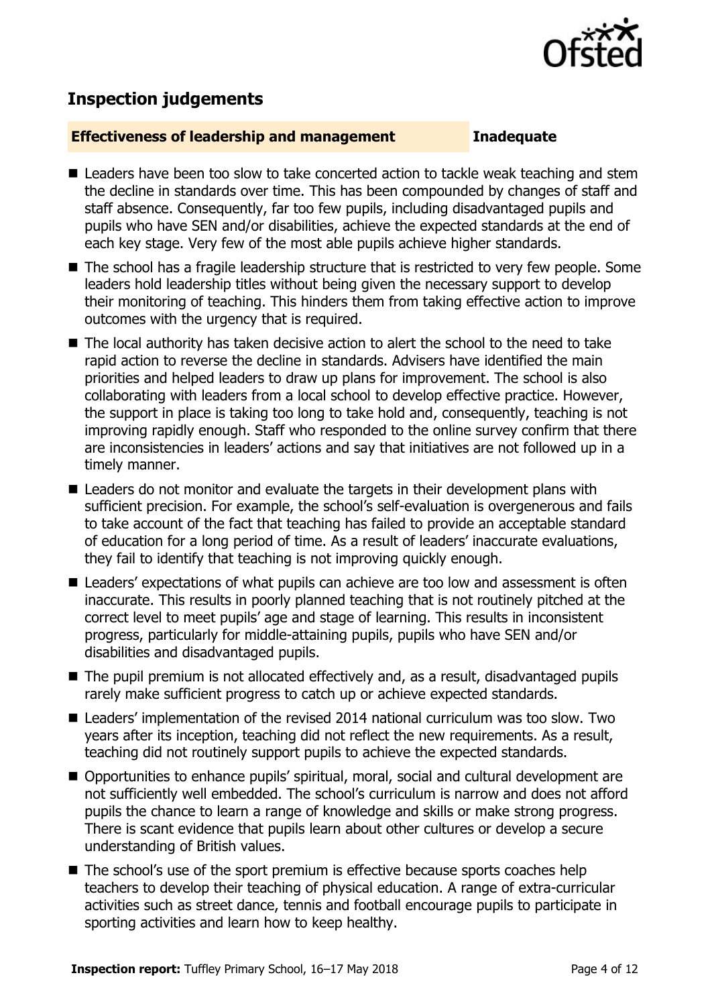

## **Inspection judgements**

### **Effectiveness of leadership and management Inadequate**

- Leaders have been too slow to take concerted action to tackle weak teaching and stem the decline in standards over time. This has been compounded by changes of staff and staff absence. Consequently, far too few pupils, including disadvantaged pupils and pupils who have SEN and/or disabilities, achieve the expected standards at the end of each key stage. Very few of the most able pupils achieve higher standards.
- $\blacksquare$  The school has a fragile leadership structure that is restricted to very few people. Some leaders hold leadership titles without being given the necessary support to develop their monitoring of teaching. This hinders them from taking effective action to improve outcomes with the urgency that is required.
- The local authority has taken decisive action to alert the school to the need to take rapid action to reverse the decline in standards. Advisers have identified the main priorities and helped leaders to draw up plans for improvement. The school is also collaborating with leaders from a local school to develop effective practice. However, the support in place is taking too long to take hold and, consequently, teaching is not improving rapidly enough. Staff who responded to the online survey confirm that there are inconsistencies in leaders' actions and say that initiatives are not followed up in a timely manner.
- Leaders do not monitor and evaluate the targets in their development plans with sufficient precision. For example, the school's self-evaluation is overgenerous and fails to take account of the fact that teaching has failed to provide an acceptable standard of education for a long period of time. As a result of leaders' inaccurate evaluations, they fail to identify that teaching is not improving quickly enough.
- Leaders' expectations of what pupils can achieve are too low and assessment is often inaccurate. This results in poorly planned teaching that is not routinely pitched at the correct level to meet pupils' age and stage of learning. This results in inconsistent progress, particularly for middle-attaining pupils, pupils who have SEN and/or disabilities and disadvantaged pupils.
- The pupil premium is not allocated effectively and, as a result, disadvantaged pupils rarely make sufficient progress to catch up or achieve expected standards.
- Leaders' implementation of the revised 2014 national curriculum was too slow. Two years after its inception, teaching did not reflect the new requirements. As a result, teaching did not routinely support pupils to achieve the expected standards.
- Opportunities to enhance pupils' spiritual, moral, social and cultural development are not sufficiently well embedded. The school's curriculum is narrow and does not afford pupils the chance to learn a range of knowledge and skills or make strong progress. There is scant evidence that pupils learn about other cultures or develop a secure understanding of British values.
- The school's use of the sport premium is effective because sports coaches help teachers to develop their teaching of physical education. A range of extra-curricular activities such as street dance, tennis and football encourage pupils to participate in sporting activities and learn how to keep healthy.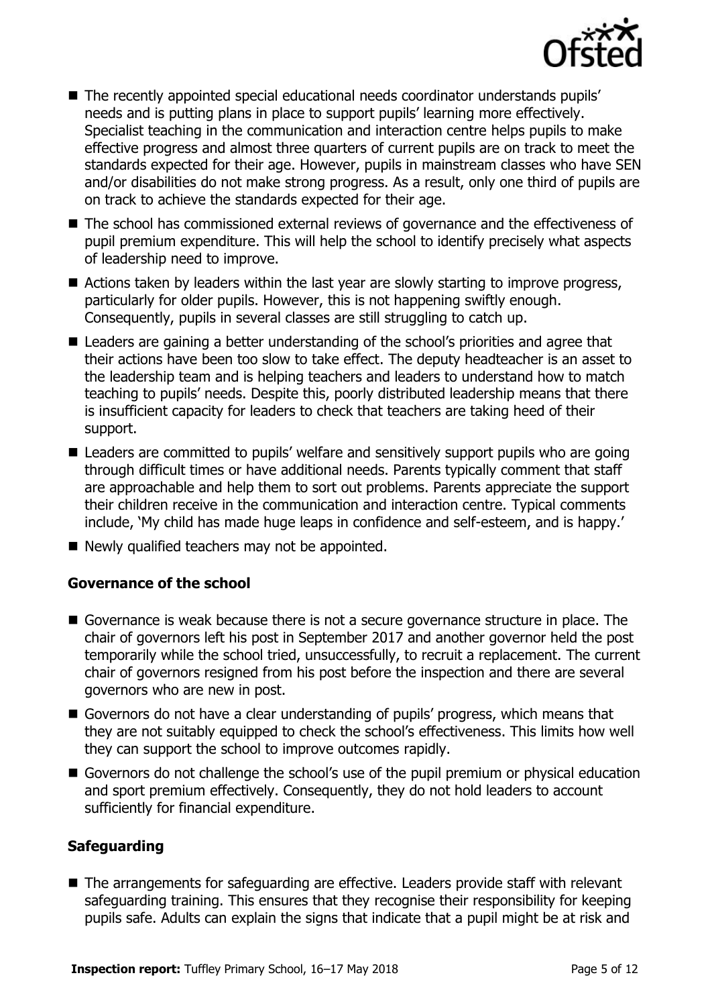

- The recently appointed special educational needs coordinator understands pupils' needs and is putting plans in place to support pupils' learning more effectively. Specialist teaching in the communication and interaction centre helps pupils to make effective progress and almost three quarters of current pupils are on track to meet the standards expected for their age. However, pupils in mainstream classes who have SEN and/or disabilities do not make strong progress. As a result, only one third of pupils are on track to achieve the standards expected for their age.
- The school has commissioned external reviews of governance and the effectiveness of pupil premium expenditure. This will help the school to identify precisely what aspects of leadership need to improve.
- Actions taken by leaders within the last year are slowly starting to improve progress, particularly for older pupils. However, this is not happening swiftly enough. Consequently, pupils in several classes are still struggling to catch up.
- Leaders are gaining a better understanding of the school's priorities and agree that their actions have been too slow to take effect. The deputy headteacher is an asset to the leadership team and is helping teachers and leaders to understand how to match teaching to pupils' needs. Despite this, poorly distributed leadership means that there is insufficient capacity for leaders to check that teachers are taking heed of their support.
- Leaders are committed to pupils' welfare and sensitively support pupils who are going through difficult times or have additional needs. Parents typically comment that staff are approachable and help them to sort out problems. Parents appreciate the support their children receive in the communication and interaction centre. Typical comments include, 'My child has made huge leaps in confidence and self-esteem, and is happy.'
- $\blacksquare$  Newly qualified teachers may not be appointed.

### **Governance of the school**

- Governance is weak because there is not a secure governance structure in place. The chair of governors left his post in September 2017 and another governor held the post temporarily while the school tried, unsuccessfully, to recruit a replacement. The current chair of governors resigned from his post before the inspection and there are several governors who are new in post.
- Governors do not have a clear understanding of pupils' progress, which means that they are not suitably equipped to check the school's effectiveness. This limits how well they can support the school to improve outcomes rapidly.
- Governors do not challenge the school's use of the pupil premium or physical education and sport premium effectively. Consequently, they do not hold leaders to account sufficiently for financial expenditure.

### **Safeguarding**

■ The arrangements for safeguarding are effective. Leaders provide staff with relevant safeguarding training. This ensures that they recognise their responsibility for keeping pupils safe. Adults can explain the signs that indicate that a pupil might be at risk and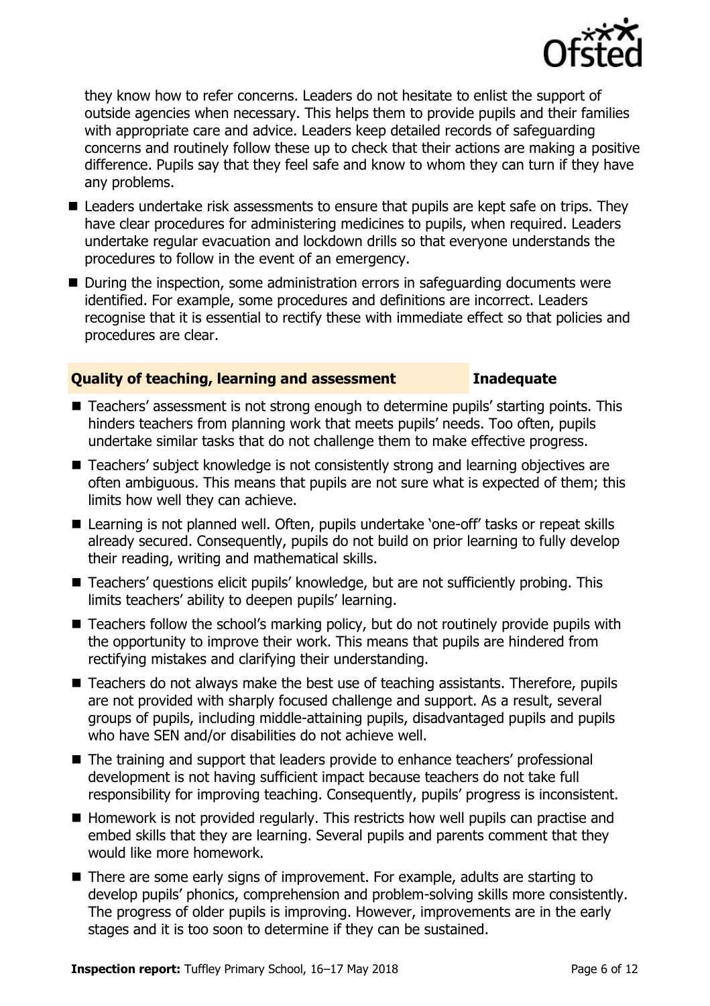

they know how to refer concerns. Leaders do not hesitate to enlist the support of outside agencies when necessary. This helps them to provide pupils and their families with appropriate care and advice. Leaders keep detailed records of safeguarding concerns and routinely follow these up to check that their actions are making a positive difference. Pupils say that they feel safe and know to whom they can turn if they have any problems.

- Leaders undertake risk assessments to ensure that pupils are kept safe on trips. They have clear procedures for administering medicines to pupils, when required. Leaders undertake regular evacuation and lockdown drills so that everyone understands the procedures to follow in the event of an emergency.
- During the inspection, some administration errors in safeguarding documents were identified. For example, some procedures and definitions are incorrect. Leaders recognise that it is essential to rectify these with immediate effect so that policies and procedures are clear.

### **Quality of teaching, learning and assessment Inadequate**

- Teachers' assessment is not strong enough to determine pupils' starting points. This hinders teachers from planning work that meets pupils' needs. Too often, pupils undertake similar tasks that do not challenge them to make effective progress.
- Teachers' subject knowledge is not consistently strong and learning objectives are often ambiguous. This means that pupils are not sure what is expected of them; this limits how well they can achieve.
- Learning is not planned well. Often, pupils undertake 'one-off' tasks or repeat skills already secured. Consequently, pupils do not build on prior learning to fully develop their reading, writing and mathematical skills.
- Teachers' questions elicit pupils' knowledge, but are not sufficiently probing. This limits teachers' ability to deepen pupils' learning.
- Teachers follow the school's marking policy, but do not routinely provide pupils with the opportunity to improve their work. This means that pupils are hindered from rectifying mistakes and clarifying their understanding.
- Teachers do not always make the best use of teaching assistants. Therefore, pupils are not provided with sharply focused challenge and support. As a result, several groups of pupils, including middle-attaining pupils, disadvantaged pupils and pupils who have SEN and/or disabilities do not achieve well.
- The training and support that leaders provide to enhance teachers' professional development is not having sufficient impact because teachers do not take full responsibility for improving teaching. Consequently, pupils' progress is inconsistent.
- $\blacksquare$  Homework is not provided regularly. This restricts how well pupils can practise and embed skills that they are learning. Several pupils and parents comment that they would like more homework.
- There are some early signs of improvement. For example, adults are starting to develop pupils' phonics, comprehension and problem-solving skills more consistently. The progress of older pupils is improving. However, improvements are in the early stages and it is too soon to determine if they can be sustained.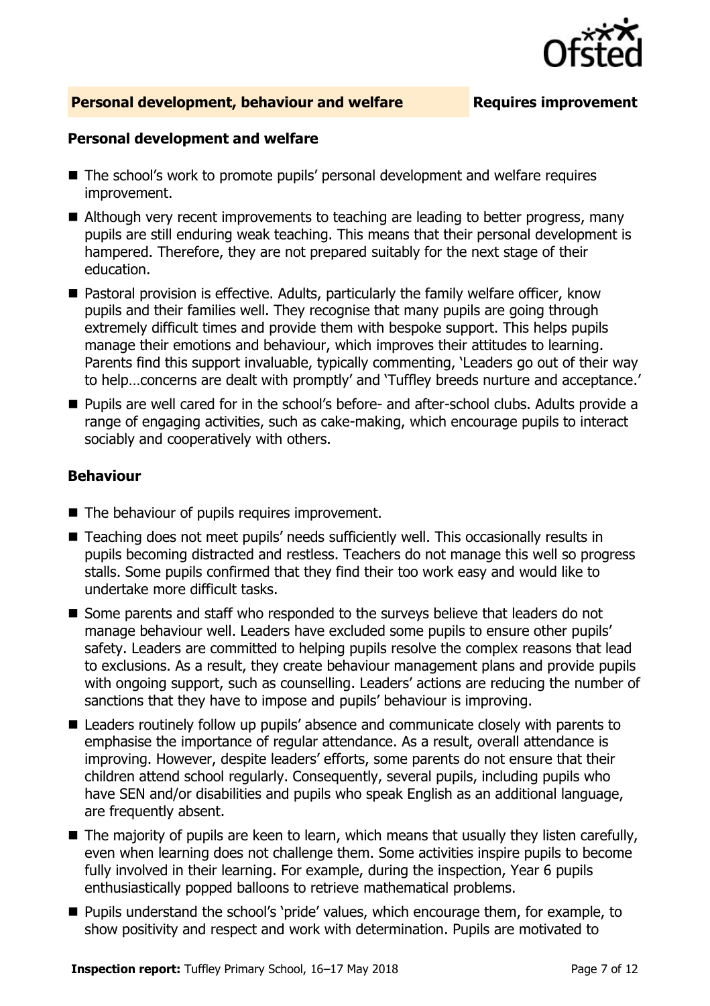

### **Personal development, behaviour and welfare Fig. 2.1 Requires improvement**

### **Personal development and welfare**

- The school's work to promote pupils' personal development and welfare requires improvement.
- Although very recent improvements to teaching are leading to better progress, many pupils are still enduring weak teaching. This means that their personal development is hampered. Therefore, they are not prepared suitably for the next stage of their education.
- Pastoral provision is effective. Adults, particularly the family welfare officer, know pupils and their families well. They recognise that many pupils are going through extremely difficult times and provide them with bespoke support. This helps pupils manage their emotions and behaviour, which improves their attitudes to learning. Parents find this support invaluable, typically commenting, 'Leaders go out of their way to help…concerns are dealt with promptly' and 'Tuffley breeds nurture and acceptance.'
- Pupils are well cared for in the school's before- and after-school clubs. Adults provide a range of engaging activities, such as cake-making, which encourage pupils to interact sociably and cooperatively with others.

### **Behaviour**

- $\blacksquare$  The behaviour of pupils requires improvement.
- Teaching does not meet pupils' needs sufficiently well. This occasionally results in pupils becoming distracted and restless. Teachers do not manage this well so progress stalls. Some pupils confirmed that they find their too work easy and would like to undertake more difficult tasks.
- Some parents and staff who responded to the surveys believe that leaders do not manage behaviour well. Leaders have excluded some pupils to ensure other pupils' safety. Leaders are committed to helping pupils resolve the complex reasons that lead to exclusions. As a result, they create behaviour management plans and provide pupils with ongoing support, such as counselling. Leaders' actions are reducing the number of sanctions that they have to impose and pupils' behaviour is improving.
- Leaders routinely follow up pupils' absence and communicate closely with parents to emphasise the importance of regular attendance. As a result, overall attendance is improving. However, despite leaders' efforts, some parents do not ensure that their children attend school regularly. Consequently, several pupils, including pupils who have SEN and/or disabilities and pupils who speak English as an additional language, are frequently absent.
- $\blacksquare$  The majority of pupils are keen to learn, which means that usually they listen carefully, even when learning does not challenge them. Some activities inspire pupils to become fully involved in their learning. For example, during the inspection, Year 6 pupils enthusiastically popped balloons to retrieve mathematical problems.
- **Pupils understand the school's 'pride' values, which encourage them, for example, to** show positivity and respect and work with determination. Pupils are motivated to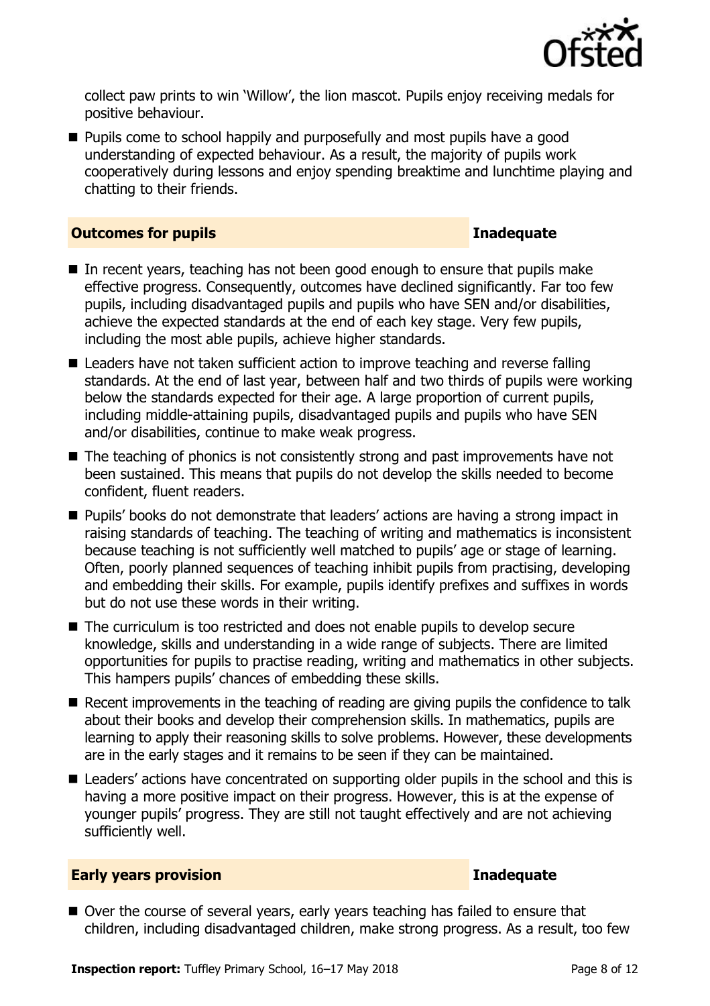

collect paw prints to win 'Willow', the lion mascot. Pupils enjoy receiving medals for positive behaviour.

**Pupils come to school happily and purposefully and most pupils have a good** understanding of expected behaviour. As a result, the majority of pupils work cooperatively during lessons and enjoy spending breaktime and lunchtime playing and chatting to their friends.

### **Outcomes for pupils Inadequate**

- In recent years, teaching has not been good enough to ensure that pupils make effective progress. Consequently, outcomes have declined significantly. Far too few pupils, including disadvantaged pupils and pupils who have SEN and/or disabilities, achieve the expected standards at the end of each key stage. Very few pupils, including the most able pupils, achieve higher standards.
- Leaders have not taken sufficient action to improve teaching and reverse falling standards. At the end of last year, between half and two thirds of pupils were working below the standards expected for their age. A large proportion of current pupils, including middle-attaining pupils, disadvantaged pupils and pupils who have SEN and/or disabilities, continue to make weak progress.
- The teaching of phonics is not consistently strong and past improvements have not been sustained. This means that pupils do not develop the skills needed to become confident, fluent readers.
- Pupils' books do not demonstrate that leaders' actions are having a strong impact in raising standards of teaching. The teaching of writing and mathematics is inconsistent because teaching is not sufficiently well matched to pupils' age or stage of learning. Often, poorly planned sequences of teaching inhibit pupils from practising, developing and embedding their skills. For example, pupils identify prefixes and suffixes in words but do not use these words in their writing.
- The curriculum is too restricted and does not enable pupils to develop secure knowledge, skills and understanding in a wide range of subjects. There are limited opportunities for pupils to practise reading, writing and mathematics in other subjects. This hampers pupils' chances of embedding these skills.
- Recent improvements in the teaching of reading are giving pupils the confidence to talk about their books and develop their comprehension skills. In mathematics, pupils are learning to apply their reasoning skills to solve problems. However, these developments are in the early stages and it remains to be seen if they can be maintained.
- Leaders' actions have concentrated on supporting older pupils in the school and this is having a more positive impact on their progress. However, this is at the expense of younger pupils' progress. They are still not taught effectively and are not achieving sufficiently well.

### **Early years provision Inadequate**

■ Over the course of several years, early years teaching has failed to ensure that children, including disadvantaged children, make strong progress. As a result, too few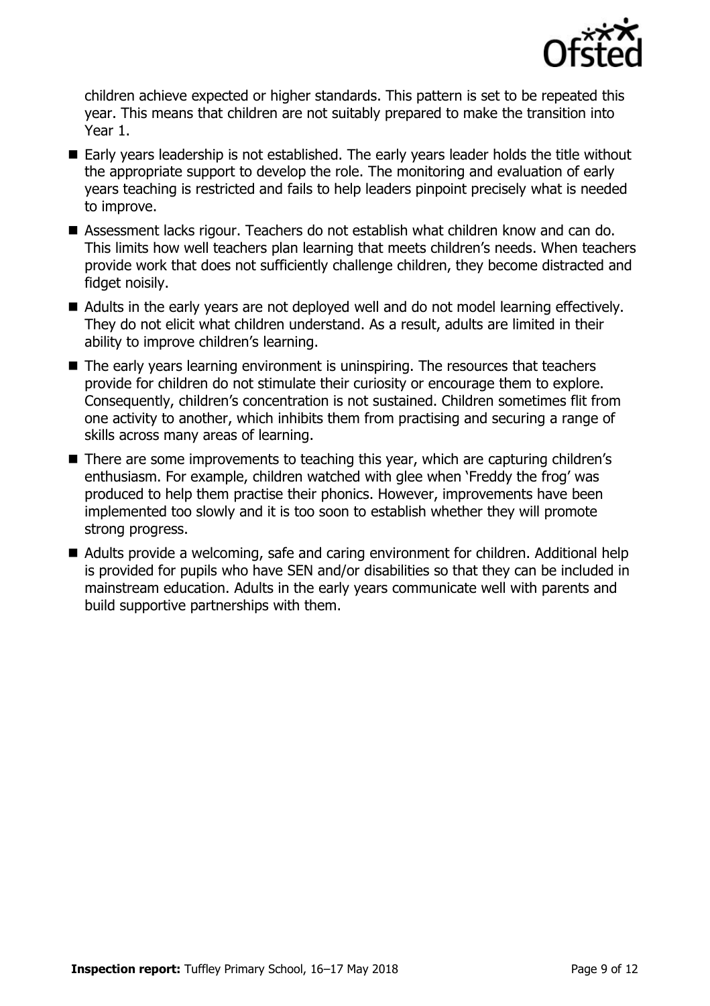

children achieve expected or higher standards. This pattern is set to be repeated this year. This means that children are not suitably prepared to make the transition into Year 1.

- Early years leadership is not established. The early years leader holds the title without the appropriate support to develop the role. The monitoring and evaluation of early years teaching is restricted and fails to help leaders pinpoint precisely what is needed to improve.
- Assessment lacks rigour. Teachers do not establish what children know and can do. This limits how well teachers plan learning that meets children's needs. When teachers provide work that does not sufficiently challenge children, they become distracted and fidget noisily.
- Adults in the early years are not deployed well and do not model learning effectively. They do not elicit what children understand. As a result, adults are limited in their ability to improve children's learning.
- The early years learning environment is uninspiring. The resources that teachers provide for children do not stimulate their curiosity or encourage them to explore. Consequently, children's concentration is not sustained. Children sometimes flit from one activity to another, which inhibits them from practising and securing a range of skills across many areas of learning.
- There are some improvements to teaching this year, which are capturing children's enthusiasm. For example, children watched with glee when 'Freddy the frog' was produced to help them practise their phonics. However, improvements have been implemented too slowly and it is too soon to establish whether they will promote strong progress.
- Adults provide a welcoming, safe and caring environment for children. Additional help is provided for pupils who have SEN and/or disabilities so that they can be included in mainstream education. Adults in the early years communicate well with parents and build supportive partnerships with them.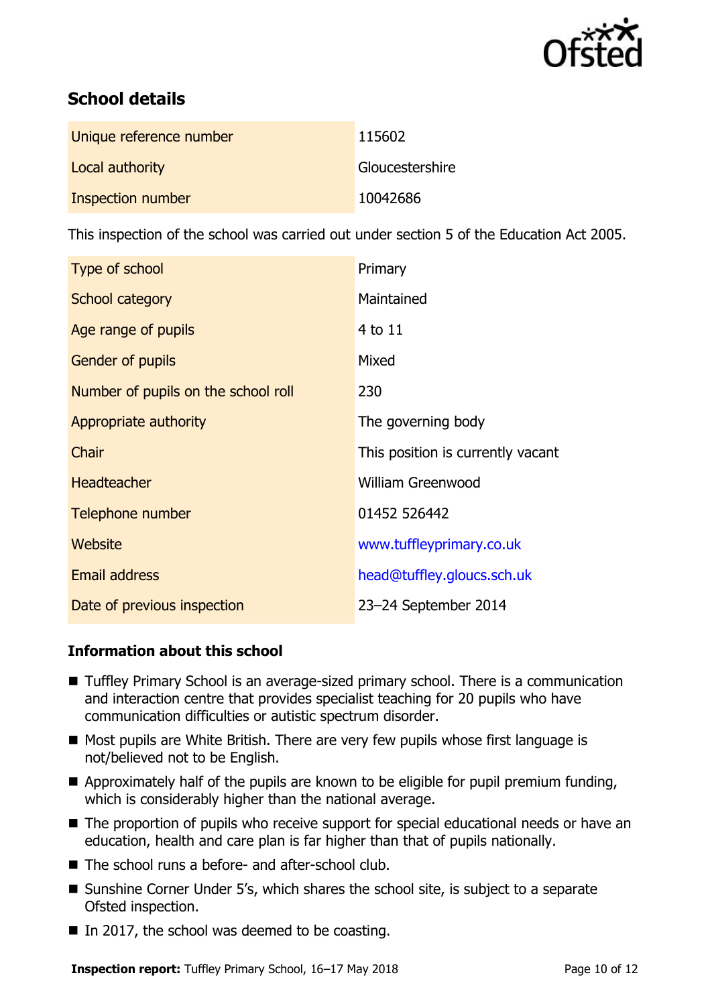

# **School details**

| Unique reference number | 115602          |
|-------------------------|-----------------|
| Local authority         | Gloucestershire |
| Inspection number       | 10042686        |

This inspection of the school was carried out under section 5 of the Education Act 2005.

| Type of school                      | Primary                           |
|-------------------------------------|-----------------------------------|
| School category                     | Maintained                        |
| Age range of pupils                 | 4 to 11                           |
| Gender of pupils                    | Mixed                             |
| Number of pupils on the school roll | 230                               |
| Appropriate authority               | The governing body                |
| Chair                               | This position is currently vacant |
| <b>Headteacher</b>                  | <b>William Greenwood</b>          |
| Telephone number                    | 01452 526442                      |
| Website                             | www.tuffleyprimary.co.uk          |
| <b>Email address</b>                | head@tuffley.gloucs.sch.uk        |
| Date of previous inspection         | 23-24 September 2014              |

### **Information about this school**

- Tuffley Primary School is an average-sized primary school. There is a communication and interaction centre that provides specialist teaching for 20 pupils who have communication difficulties or autistic spectrum disorder.
- Most pupils are White British. There are very few pupils whose first language is not/believed not to be English.
- $\blacksquare$  Approximately half of the pupils are known to be eligible for pupil premium funding, which is considerably higher than the national average.
- The proportion of pupils who receive support for special educational needs or have an education, health and care plan is far higher than that of pupils nationally.
- The school runs a before- and after-school club.
- Sunshine Corner Under 5's, which shares the school site, is subject to a separate Ofsted inspection.
- $\blacksquare$  In 2017, the school was deemed to be coasting.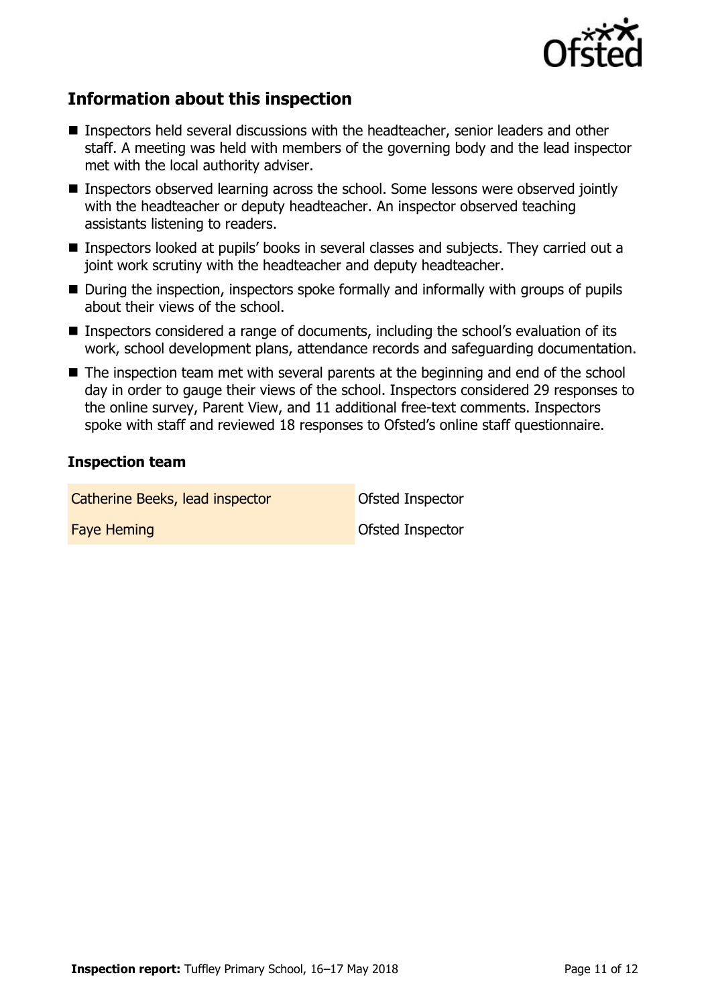

# **Information about this inspection**

- Inspectors held several discussions with the headteacher, senior leaders and other staff. A meeting was held with members of the governing body and the lead inspector met with the local authority adviser.
- **Inspectors observed learning across the school. Some lessons were observed jointly** with the headteacher or deputy headteacher. An inspector observed teaching assistants listening to readers.
- Inspectors looked at pupils' books in several classes and subjects. They carried out a joint work scrutiny with the headteacher and deputy headteacher.
- During the inspection, inspectors spoke formally and informally with groups of pupils about their views of the school.
- Inspectors considered a range of documents, including the school's evaluation of its work, school development plans, attendance records and safeguarding documentation.
- The inspection team met with several parents at the beginning and end of the school day in order to gauge their views of the school. Inspectors considered 29 responses to the online survey, Parent View, and 11 additional free-text comments. Inspectors spoke with staff and reviewed 18 responses to Ofsted's online staff questionnaire.

### **Inspection team**

Catherine Beeks, lead inspector **Catherine Beeks**, lead inspector

**Faye Heming Construction Construction Construction Construction Construction Construction Construction Construction** 

**Inspection report:** Tuffley Primary School, 16–17 May 2018 **Page 11 of 12** Page 11 of 12